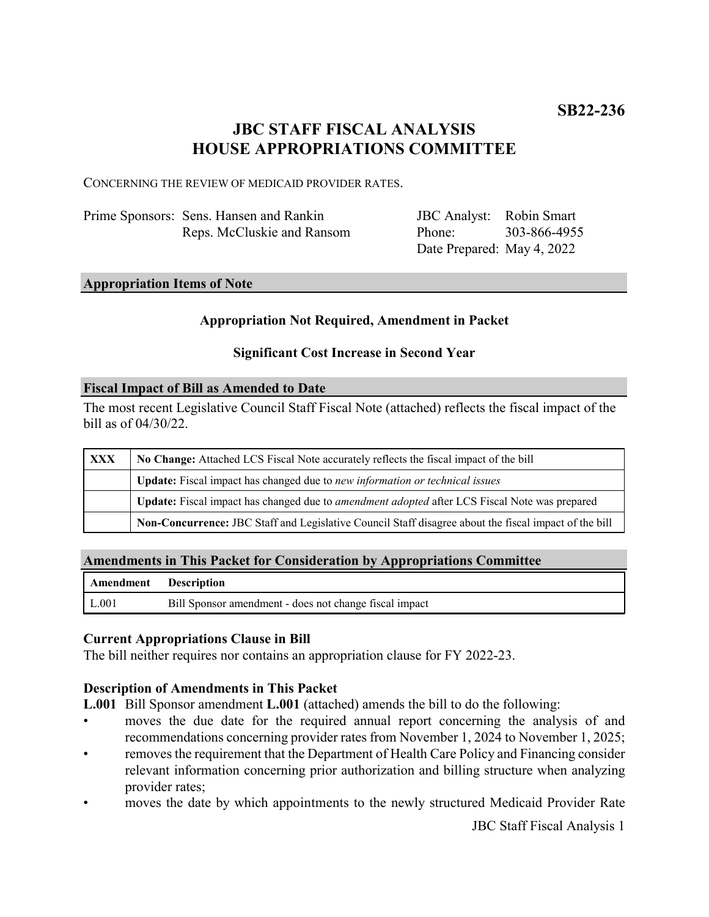# **JBC STAFF FISCAL ANALYSIS HOUSE APPROPRIATIONS COMMITTEE**

CONCERNING THE REVIEW OF MEDICAID PROVIDER RATES.

| Prime Sponsors: Sens. Hansen and Rankin |
|-----------------------------------------|
| Reps. McCluskie and Ransom              |

JBC Analyst: Robin Smart Phone: Date Prepared: May 4, 2022 303-866-4955

#### **Appropriation Items of Note**

# **Appropriation Not Required, Amendment in Packet**

# **Significant Cost Increase in Second Year**

#### **Fiscal Impact of Bill as Amended to Date**

The most recent Legislative Council Staff Fiscal Note (attached) reflects the fiscal impact of the bill as of 04/30/22.

| XXX | No Change: Attached LCS Fiscal Note accurately reflects the fiscal impact of the bill                 |  |
|-----|-------------------------------------------------------------------------------------------------------|--|
|     | Update: Fiscal impact has changed due to new information or technical issues                          |  |
|     | Update: Fiscal impact has changed due to <i>amendment adopted</i> after LCS Fiscal Note was prepared  |  |
|     | Non-Concurrence: JBC Staff and Legislative Council Staff disagree about the fiscal impact of the bill |  |

#### **Amendments in This Packet for Consideration by Appropriations Committee**

| Amendment Description |                                                        |
|-----------------------|--------------------------------------------------------|
| $\mid$ L.001          | Bill Sponsor amendment - does not change fiscal impact |

# **Current Appropriations Clause in Bill**

The bill neither requires nor contains an appropriation clause for FY 2022-23.

# **Description of Amendments in This Packet**

**L.001** Bill Sponsor amendment **L.001** (attached) amends the bill to do the following:

- moves the due date for the required annual report concerning the analysis of and recommendations concerning provider rates from November 1, 2024 to November 1, 2025;
- removes the requirement that the Department of Health Care Policy and Financing consider relevant information concerning prior authorization and billing structure when analyzing provider rates;
- moves the date by which appointments to the newly structured Medicaid Provider Rate

JBC Staff Fiscal Analysis 1